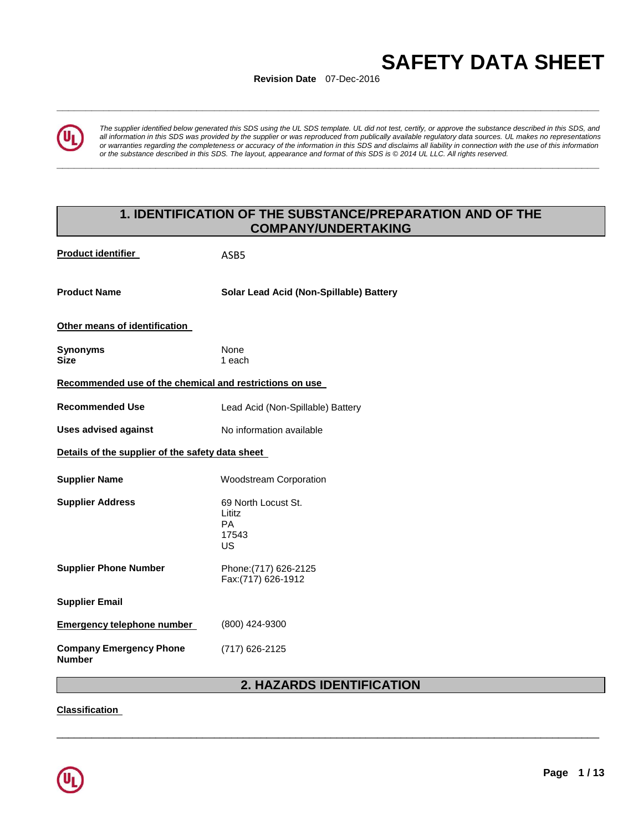# **SAFETY DATA SHEET**

**Revision Date** 07-Dec-2016

**\_\_\_\_\_\_\_\_\_\_\_\_\_\_\_\_\_\_\_\_\_\_\_\_\_\_\_\_\_\_\_\_\_\_\_\_\_\_\_\_\_\_\_\_\_\_\_\_\_\_\_\_\_\_\_\_\_\_\_\_\_\_\_\_\_\_\_\_\_\_\_\_\_\_\_\_\_\_\_\_\_\_\_\_\_\_\_\_\_\_\_\_\_** 

**\_\_\_\_\_\_\_\_\_\_\_\_\_\_\_\_\_\_\_\_\_\_\_\_\_\_\_\_\_\_\_\_\_\_\_\_\_\_\_\_\_\_\_\_\_\_\_\_\_\_\_\_\_\_\_\_\_\_\_\_\_\_\_\_\_\_\_\_\_\_\_\_\_\_\_\_\_\_\_\_\_\_\_\_\_\_\_\_\_\_\_\_\_** 

*The supplier identified below generated this SDS using the UL SDS template. UL did not test, certify, or approve the substance described in this SDS, and all information in this SDS was provided by the supplier or was reproduced from publically available regulatory data sources. UL makes no representations or warranties regarding the completeness or accuracy of the information in this SDS and disclaims all liability in connection with the use of this information or the substance described in this SDS. The layout, appearance and format of this SDS is © 2014 UL LLC. All rights reserved.* 

# **1. IDENTIFICATION OF THE SUBSTANCE/PREPARATION AND OF THE COMPANY/UNDERTAKING**

| <b>Product identifier</b>                               | ASB <sub>5</sub>                                   |  |  |  |
|---------------------------------------------------------|----------------------------------------------------|--|--|--|
| <b>Product Name</b>                                     | Solar Lead Acid (Non-Spillable) Battery            |  |  |  |
| Other means of identification                           |                                                    |  |  |  |
| Synonyms<br><b>Size</b>                                 | None<br>1 each                                     |  |  |  |
| Recommended use of the chemical and restrictions on use |                                                    |  |  |  |
| <b>Recommended Use</b>                                  | Lead Acid (Non-Spillable) Battery                  |  |  |  |
| <b>Uses advised against</b>                             | No information available                           |  |  |  |
| Details of the supplier of the safety data sheet        |                                                    |  |  |  |
| <b>Supplier Name</b>                                    | <b>Woodstream Corporation</b>                      |  |  |  |
| <b>Supplier Address</b>                                 | 69 North Locust St.<br>Lititz<br>PA<br>17543<br>US |  |  |  |
| <b>Supplier Phone Number</b>                            | Phone: (717) 626-2125<br>Fax:(717) 626-1912        |  |  |  |
|                                                         |                                                    |  |  |  |
| <b>Supplier Email</b>                                   |                                                    |  |  |  |
| <b>Emergency telephone number</b>                       | (800) 424-9300                                     |  |  |  |

# **2. HAZARDS IDENTIFICATION**

\_\_\_\_\_\_\_\_\_\_\_\_\_\_\_\_\_\_\_\_\_\_\_\_\_\_\_\_\_\_\_\_\_\_\_\_\_\_\_\_\_\_\_\_\_\_\_\_\_\_\_\_\_\_\_\_\_\_\_\_\_\_\_\_\_\_\_\_\_\_\_\_\_\_\_\_\_\_\_\_\_\_\_\_\_\_\_\_\_\_\_\_\_

**Classification**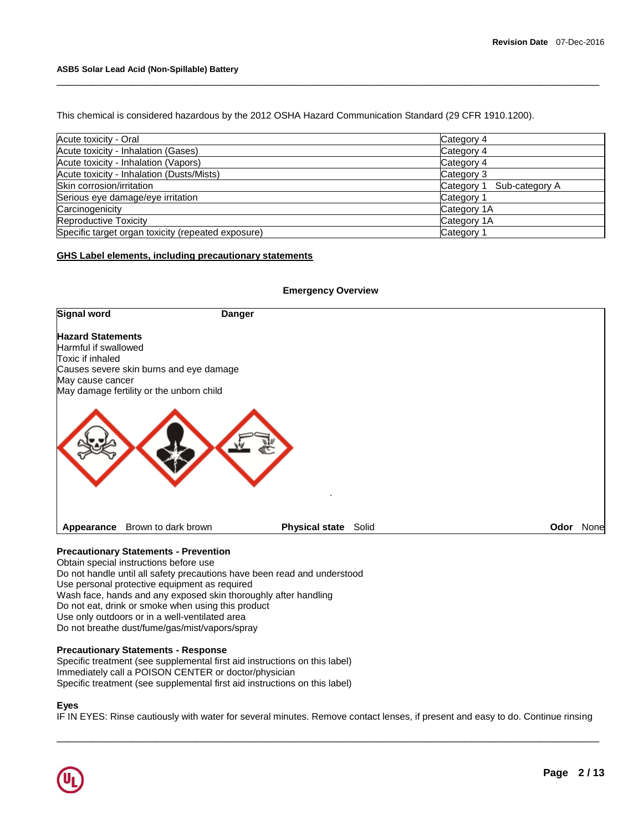This chemical is considered hazardous by the 2012 OSHA Hazard Communication Standard (29 CFR 1910.1200).

| Acute toxicity - Oral                              | Category 4                |
|----------------------------------------------------|---------------------------|
| Acute toxicity - Inhalation (Gases)                | Category 4                |
| Acute toxicity - Inhalation (Vapors)<br>Category 4 |                           |
| Acute toxicity - Inhalation (Dusts/Mists)          | Category 3                |
| Skin corrosion/irritation                          | Category 1 Sub-category A |
| Serious eye damage/eye irritation                  | Category 1                |
| Carcinogenicity                                    | Category 1A               |
| Reproductive Toxicity                              | Category 1A               |
| Specific target organ toxicity (repeated exposure) | Category 1                |

\_\_\_\_\_\_\_\_\_\_\_\_\_\_\_\_\_\_\_\_\_\_\_\_\_\_\_\_\_\_\_\_\_\_\_\_\_\_\_\_\_\_\_\_\_\_\_\_\_\_\_\_\_\_\_\_\_\_\_\_\_\_\_\_\_\_\_\_\_\_\_\_\_\_\_\_\_\_\_\_\_\_\_\_\_\_\_\_\_\_\_\_\_

# **GHS Label elements, including precautionary statements**



Obtain special instructions before use Do not handle until all safety precautions have been read and understood Use personal protective equipment as required Wash face, hands and any exposed skin thoroughly after handling Do not eat, drink or smoke when using this product Use only outdoors or in a well-ventilated area Do not breathe dust/fume/gas/mist/vapors/spray

#### **Precautionary Statements - Response**

Specific treatment (see supplemental first aid instructions on this label) Immediately call a POISON CENTER or doctor/physician Specific treatment (see supplemental first aid instructions on this label)

#### **Eyes**

IF IN EYES: Rinse cautiously with water for several minutes. Remove contact lenses, if present and easy to do. Continue rinsing

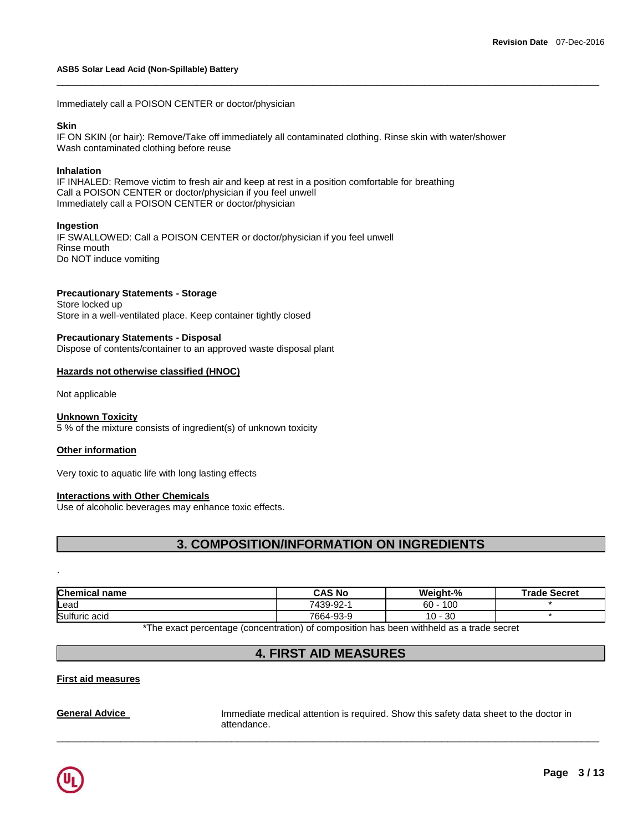Immediately call a POISON CENTER or doctor/physician

#### **Skin**

IF ON SKIN (or hair): Remove/Take off immediately all contaminated clothing. Rinse skin with water/shower Wash contaminated clothing before reuse

\_\_\_\_\_\_\_\_\_\_\_\_\_\_\_\_\_\_\_\_\_\_\_\_\_\_\_\_\_\_\_\_\_\_\_\_\_\_\_\_\_\_\_\_\_\_\_\_\_\_\_\_\_\_\_\_\_\_\_\_\_\_\_\_\_\_\_\_\_\_\_\_\_\_\_\_\_\_\_\_\_\_\_\_\_\_\_\_\_\_\_\_\_

## **Inhalation**

IF INHALED: Remove victim to fresh air and keep at rest in a position comfortable for breathing Call a POISON CENTER or doctor/physician if you feel unwell Immediately call a POISON CENTER or doctor/physician

## **Ingestion**

IF SWALLOWED: Call a POISON CENTER or doctor/physician if you feel unwell Rinse mouth Do NOT induce vomiting

# **Precautionary Statements - Storage**

Store locked up Store in a well-ventilated place. Keep container tightly closed

## **Precautionary Statements - Disposal**

Dispose of contents/container to an approved waste disposal plant

## **Hazards not otherwise classified (HNOC)**

Not applicable

#### **Unknown Toxicity**

5 % of the mixture consists of ingredient(s) of unknown toxicity

#### **Other information**

Very toxic to aquatic life with long lasting effects

# **Interactions with Other Chemicals**

Use of alcoholic beverages may enhance toxic effects.

# **3. COMPOSITION/INFORMATION ON INGREDIENTS**

| <b>Chemical name</b> |  |  | CAS No    | Weight-%      | <b>Trade Secret</b> |
|----------------------|--|--|-----------|---------------|---------------------|
| Lead                 |  |  | 7439-92-1 | 100<br>$60 -$ |                     |
| Sulfuric acid        |  |  | 7664-93-9 | -30<br>10.    |                     |

The exact percentage (concentration) of composition has been withheld as a trade secret

# **4. FIRST AID MEASURES**

\_\_\_\_\_\_\_\_\_\_\_\_\_\_\_\_\_\_\_\_\_\_\_\_\_\_\_\_\_\_\_\_\_\_\_\_\_\_\_\_\_\_\_\_\_\_\_\_\_\_\_\_\_\_\_\_\_\_\_\_\_\_\_\_\_\_\_\_\_\_\_\_\_\_\_\_\_\_\_\_\_\_\_\_\_\_\_\_\_\_\_\_\_

# **First aid measures**

**General Advice Immediate medical attention is required. Show this safety data sheet to the doctor in** attendance.



.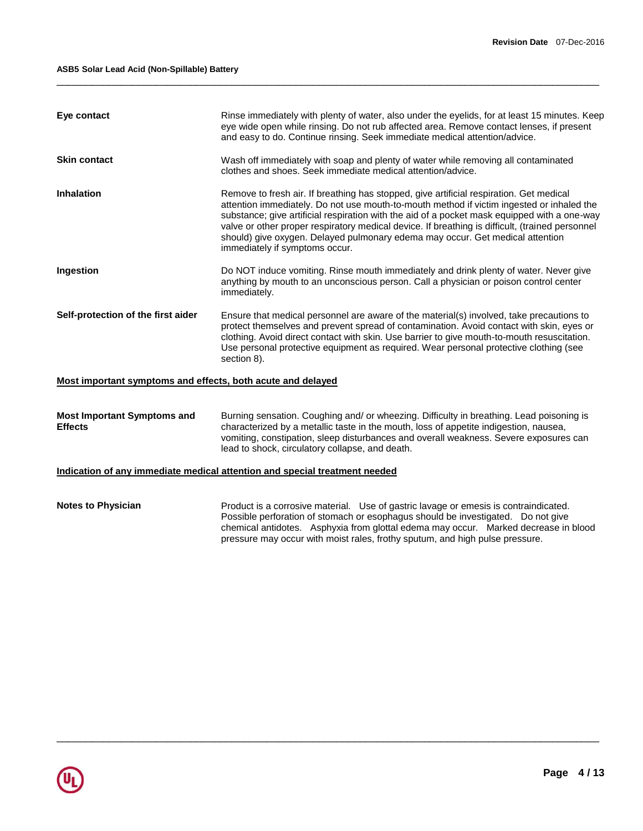| Eye contact                                                 | Rinse immediately with plenty of water, also under the eyelids, for at least 15 minutes. Keep<br>eye wide open while rinsing. Do not rub affected area. Remove contact lenses, if present<br>and easy to do. Continue rinsing. Seek immediate medical attention/advice.                                                                                                                                                                                                                                    |  |
|-------------------------------------------------------------|------------------------------------------------------------------------------------------------------------------------------------------------------------------------------------------------------------------------------------------------------------------------------------------------------------------------------------------------------------------------------------------------------------------------------------------------------------------------------------------------------------|--|
| <b>Skin contact</b>                                         | Wash off immediately with soap and plenty of water while removing all contaminated<br>clothes and shoes. Seek immediate medical attention/advice.                                                                                                                                                                                                                                                                                                                                                          |  |
| <b>Inhalation</b>                                           | Remove to fresh air. If breathing has stopped, give artificial respiration. Get medical<br>attention immediately. Do not use mouth-to-mouth method if victim ingested or inhaled the<br>substance; give artificial respiration with the aid of a pocket mask equipped with a one-way<br>valve or other proper respiratory medical device. If breathing is difficult, (trained personnel<br>should) give oxygen. Delayed pulmonary edema may occur. Get medical attention<br>immediately if symptoms occur. |  |
| Ingestion                                                   | Do NOT induce vomiting. Rinse mouth immediately and drink plenty of water. Never give<br>anything by mouth to an unconscious person. Call a physician or poison control center<br>immediately.                                                                                                                                                                                                                                                                                                             |  |
| Self-protection of the first aider                          | Ensure that medical personnel are aware of the material(s) involved, take precautions to<br>protect themselves and prevent spread of contamination. Avoid contact with skin, eyes or<br>clothing. Avoid direct contact with skin. Use barrier to give mouth-to-mouth resuscitation.<br>Use personal protective equipment as required. Wear personal protective clothing (see<br>section 8).                                                                                                                |  |
| Most important symptoms and effects, both acute and delayed |                                                                                                                                                                                                                                                                                                                                                                                                                                                                                                            |  |
| <b>Most Important Symptoms and</b><br><b>Effects</b>        | Burning sensation. Coughing and/ or wheezing. Difficulty in breathing. Lead poisoning is<br>characterized by a metallic taste in the mouth, loss of appetite indigestion, nausea,<br>vomiting, constipation, sleep disturbances and overall weakness. Severe exposures can<br>lead to shock, circulatory collapse, and death.                                                                                                                                                                              |  |
|                                                             | Indication of any immediate medical attention and special treatment needed                                                                                                                                                                                                                                                                                                                                                                                                                                 |  |
| <b>Notes to Physician</b>                                   | Product is a corrosive material. Use of gastric lavage or emesis is contraindicated.<br>Possible perforation of stomach or esophagus should be investigated. Do not give                                                                                                                                                                                                                                                                                                                                   |  |

chemical antidotes. Asphyxia from glottal edema may occur. Marked decrease in blood

pressure may occur with moist rales, frothy sputum, and high pulse pressure.

\_\_\_\_\_\_\_\_\_\_\_\_\_\_\_\_\_\_\_\_\_\_\_\_\_\_\_\_\_\_\_\_\_\_\_\_\_\_\_\_\_\_\_\_\_\_\_\_\_\_\_\_\_\_\_\_\_\_\_\_\_\_\_\_\_\_\_\_\_\_\_\_\_\_\_\_\_\_\_\_\_\_\_\_\_\_\_\_\_\_\_\_\_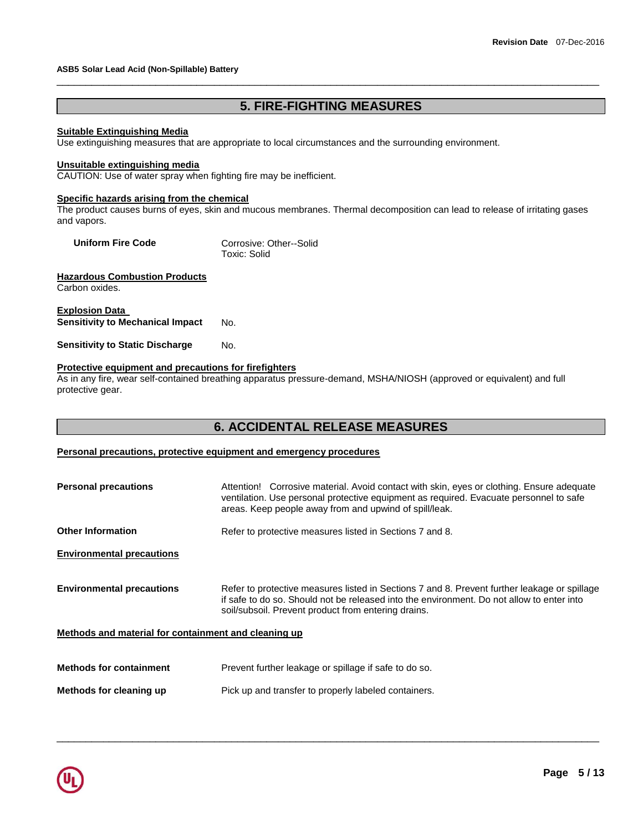# **5. FIRE-FIGHTING MEASURES**

\_\_\_\_\_\_\_\_\_\_\_\_\_\_\_\_\_\_\_\_\_\_\_\_\_\_\_\_\_\_\_\_\_\_\_\_\_\_\_\_\_\_\_\_\_\_\_\_\_\_\_\_\_\_\_\_\_\_\_\_\_\_\_\_\_\_\_\_\_\_\_\_\_\_\_\_\_\_\_\_\_\_\_\_\_\_\_\_\_\_\_\_\_

#### **Suitable Extinguishing Media**

Use extinguishing measures that are appropriate to local circumstances and the surrounding environment.

#### **Unsuitable extinguishing media**

CAUTION: Use of water spray when fighting fire may be inefficient.

#### **Specific hazards arising from the chemical**

The product causes burns of eyes, skin and mucous membranes. Thermal decomposition can lead to release of irritating gases and vapors.

| <b>Uniform Fire Code</b> | Corrosive: Other--Solid<br>Toxic: Solid |
|--------------------------|-----------------------------------------|
|                          |                                         |

## **Hazardous Combustion Products** Carbon oxides.

**Explosion Data Sensitivity to Mechanical Impact** No.

**Sensitivity to Static Discharge Mo.** 

# **Protective equipment and precautions for firefighters**

As in any fire, wear self-contained breathing apparatus pressure-demand, MSHA/NIOSH (approved or equivalent) and full protective gear.

# **6. ACCIDENTAL RELEASE MEASURES**

# **Personal precautions, protective equipment and emergency procedures**

| <b>Personal precautions</b>                          | Attention! Corrosive material. Avoid contact with skin, eyes or clothing. Ensure adequate<br>ventilation. Use personal protective equipment as required. Evacuate personnel to safe<br>areas. Keep people away from and upwind of spill/leak.    |
|------------------------------------------------------|--------------------------------------------------------------------------------------------------------------------------------------------------------------------------------------------------------------------------------------------------|
| <b>Other Information</b>                             | Refer to protective measures listed in Sections 7 and 8.                                                                                                                                                                                         |
| <b>Environmental precautions</b>                     |                                                                                                                                                                                                                                                  |
| <b>Environmental precautions</b>                     | Refer to protective measures listed in Sections 7 and 8. Prevent further leakage or spillage<br>if safe to do so. Should not be released into the environment. Do not allow to enter into<br>soil/subsoil. Prevent product from entering drains. |
| Methods and material for containment and cleaning up |                                                                                                                                                                                                                                                  |
| <b>Methods for containment</b>                       | Prevent further leakage or spillage if safe to do so.                                                                                                                                                                                            |
| Methods for cleaning up                              | Pick up and transfer to properly labeled containers.                                                                                                                                                                                             |

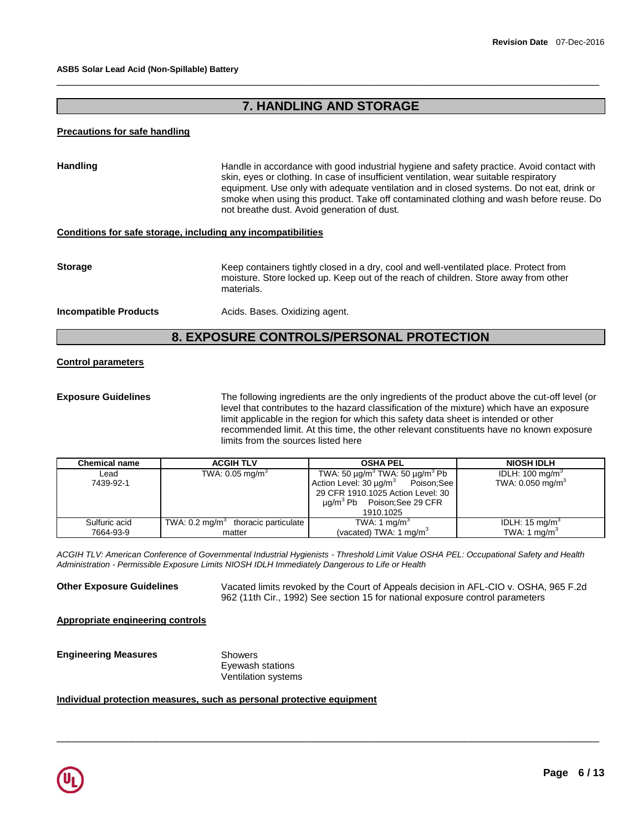# **7. HANDLING AND STORAGE**

\_\_\_\_\_\_\_\_\_\_\_\_\_\_\_\_\_\_\_\_\_\_\_\_\_\_\_\_\_\_\_\_\_\_\_\_\_\_\_\_\_\_\_\_\_\_\_\_\_\_\_\_\_\_\_\_\_\_\_\_\_\_\_\_\_\_\_\_\_\_\_\_\_\_\_\_\_\_\_\_\_\_\_\_\_\_\_\_\_\_\_\_\_

### **Precautions for safe handling**

| <b>Handling</b>                                              | Handle in accordance with good industrial hygiene and safety practice. Avoid contact with<br>skin, eyes or clothing. In case of insufficient ventilation, wear suitable respiratory<br>equipment. Use only with adequate ventilation and in closed systems. Do not eat, drink or<br>smoke when using this product. Take off contaminated clothing and wash before reuse. Do<br>not breathe dust. Avoid generation of dust. |
|--------------------------------------------------------------|----------------------------------------------------------------------------------------------------------------------------------------------------------------------------------------------------------------------------------------------------------------------------------------------------------------------------------------------------------------------------------------------------------------------------|
| Conditions for safe storage, including any incompatibilities |                                                                                                                                                                                                                                                                                                                                                                                                                            |
| <b>Storage</b>                                               | Keep containers tightly closed in a dry, cool and well-ventilated place. Protect from<br>moisture. Store locked up. Keep out of the reach of children. Store away from other<br>materials.                                                                                                                                                                                                                                 |
| <b>Incompatible Products</b>                                 | Acids. Bases. Oxidizing agent.                                                                                                                                                                                                                                                                                                                                                                                             |

# **8. EXPOSURE CONTROLS/PERSONAL PROTECTION**

## **Control parameters**

**Exposure Guidelines** The following ingredients are the only ingredients of the product above the cut-off level (or level that contributes to the hazard classification of the mixture) which have an exposure limit applicable in the region for which this safety data sheet is intended or other recommended limit. At this time, the other relevant constituents have no known exposure limits from the sources listed here

| <b>Chemical name</b> | <b>ACGIH TLV</b>                               | <b>OSHA PEL</b>                                                                                                                                                                                                     | <b>NIOSH IDLH</b>                                          |
|----------------------|------------------------------------------------|---------------------------------------------------------------------------------------------------------------------------------------------------------------------------------------------------------------------|------------------------------------------------------------|
| Lead<br>7439-92-1    | TWA: $0.05$ mg/m <sup>3</sup>                  | TWA: 50 $\mu$ g/m <sup>3</sup> TWA: 50 $\mu$ g/m <sup>3</sup> Pb<br>Action Level: 30 ug/m <sup>3</sup> Poison;See<br>29 CFR 1910.1025 Action Level: 30<br>$\mu$ q/m <sup>3</sup> Pb Poison; See 29 CFR<br>1910.1025 | IDLH: $100 \text{ mg/m}^3$<br>TWA: 0.050 mg/m <sup>3</sup> |
| Sulfuric acid        | TWA: $0.2 \text{ mg/m}^3$ thoracic particulate | TWA: 1 mg/m <sup>3</sup>                                                                                                                                                                                            | IDLH: $15 \text{ mg/m}^3$                                  |
| 7664-93-9            | matter                                         | (vacated) TWA: 1 mg/m <sup>3</sup>                                                                                                                                                                                  | TWA: 1 $mq/m3$                                             |

*ACGIH TLV: American Conference of Governmental Industrial Hygienists - Threshold Limit Value OSHA PEL: Occupational Safety and Health Administration - Permissible Exposure Limits NIOSH IDLH Immediately Dangerous to Life or Health* 

\_\_\_\_\_\_\_\_\_\_\_\_\_\_\_\_\_\_\_\_\_\_\_\_\_\_\_\_\_\_\_\_\_\_\_\_\_\_\_\_\_\_\_\_\_\_\_\_\_\_\_\_\_\_\_\_\_\_\_\_\_\_\_\_\_\_\_\_\_\_\_\_\_\_\_\_\_\_\_\_\_\_\_\_\_\_\_\_\_\_\_\_\_

**Other Exposure Guidelines** Vacated limits revoked by the Court of Appeals decision in AFL-CIO v. OSHA, 965 F.2d 962 (11th Cir., 1992) See section 15 for national exposure control parameters

**Appropriate engineering controls**

**Engineering Measures** Showers

Eyewash stations Ventilation systems

# **Individual protection measures, such as personal protective equipment**

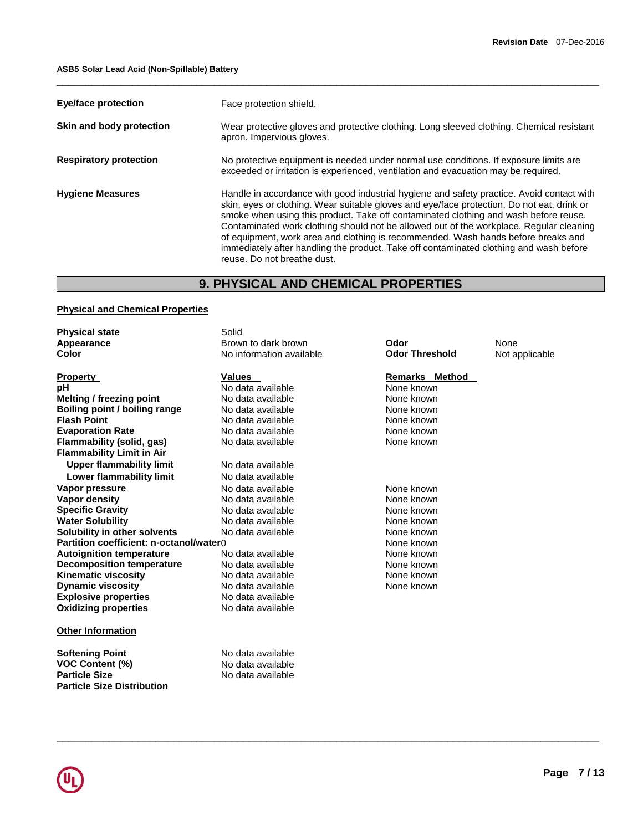| <b>Eye/face protection</b>    | Face protection shield.                                                                                                                                                                                                                                                                                                                                                                                                                                                                                                                                                                  |
|-------------------------------|------------------------------------------------------------------------------------------------------------------------------------------------------------------------------------------------------------------------------------------------------------------------------------------------------------------------------------------------------------------------------------------------------------------------------------------------------------------------------------------------------------------------------------------------------------------------------------------|
| Skin and body protection      | Wear protective gloves and protective clothing. Long sleeved clothing. Chemical resistant<br>apron. Impervious gloves.                                                                                                                                                                                                                                                                                                                                                                                                                                                                   |
| <b>Respiratory protection</b> | No protective equipment is needed under normal use conditions. If exposure limits are<br>exceeded or irritation is experienced, ventilation and evacuation may be required.                                                                                                                                                                                                                                                                                                                                                                                                              |
| <b>Hygiene Measures</b>       | Handle in accordance with good industrial hygiene and safety practice. Avoid contact with<br>skin, eyes or clothing. Wear suitable gloves and eye/face protection. Do not eat, drink or<br>smoke when using this product. Take off contaminated clothing and wash before reuse.<br>Contaminated work clothing should not be allowed out of the workplace. Regular cleaning<br>of equipment, work area and clothing is recommended. Wash hands before breaks and<br>immediately after handling the product. Take off contaminated clothing and wash before<br>reuse. Do not breathe dust. |

\_\_\_\_\_\_\_\_\_\_\_\_\_\_\_\_\_\_\_\_\_\_\_\_\_\_\_\_\_\_\_\_\_\_\_\_\_\_\_\_\_\_\_\_\_\_\_\_\_\_\_\_\_\_\_\_\_\_\_\_\_\_\_\_\_\_\_\_\_\_\_\_\_\_\_\_\_\_\_\_\_\_\_\_\_\_\_\_\_\_\_\_\_

# **9. PHYSICAL AND CHEMICAL PROPERTIES**

# **Physical and Chemical Properties**

| <b>Physical state</b>                   | Solid                    |                       |                |
|-----------------------------------------|--------------------------|-----------------------|----------------|
| Appearance                              | Brown to dark brown      | Odor                  | None           |
| Color                                   | No information available | <b>Odor Threshold</b> | Not applicable |
| <b>Property</b>                         | <b>Values</b>            | <b>Remarks Method</b> |                |
| рH                                      | No data available        | None known            |                |
| <b>Melting / freezing point</b>         | No data available        | None known            |                |
| Boiling point / boiling range           | No data available        | None known            |                |
| <b>Flash Point</b>                      | No data available        | None known            |                |
| <b>Evaporation Rate</b>                 | No data available        | None known            |                |
| Flammability (solid, gas)               | No data available        | None known            |                |
| <b>Flammability Limit in Air</b>        |                          |                       |                |
| <b>Upper flammability limit</b>         | No data available        |                       |                |
| Lower flammability limit                | No data available        |                       |                |
| Vapor pressure                          | No data available        | None known            |                |
| Vapor density                           | No data available        | None known            |                |
| <b>Specific Gravity</b>                 | No data available        | None known            |                |
| <b>Water Solubility</b>                 | No data available        | None known            |                |
| Solubility in other solvents            | No data available        | None known            |                |
| Partition coefficient: n-octanol/water0 |                          | None known            |                |
| <b>Autoignition temperature</b>         | No data available        | None known            |                |
| <b>Decomposition temperature</b>        | No data available        | None known            |                |
| <b>Kinematic viscosity</b>              | No data available        | None known            |                |
| <b>Dynamic viscosity</b>                | No data available        | None known            |                |
| <b>Explosive properties</b>             | No data available        |                       |                |
| <b>Oxidizing properties</b>             | No data available        |                       |                |
| <b>Other Information</b>                |                          |                       |                |
| <b>Softening Point</b>                  | No data available        |                       |                |
| <b>VOC Content (%)</b>                  | No data available        |                       |                |
| <b>Particle Size</b>                    | No data available        |                       |                |
| <b>Particle Size Distribution</b>       |                          |                       |                |

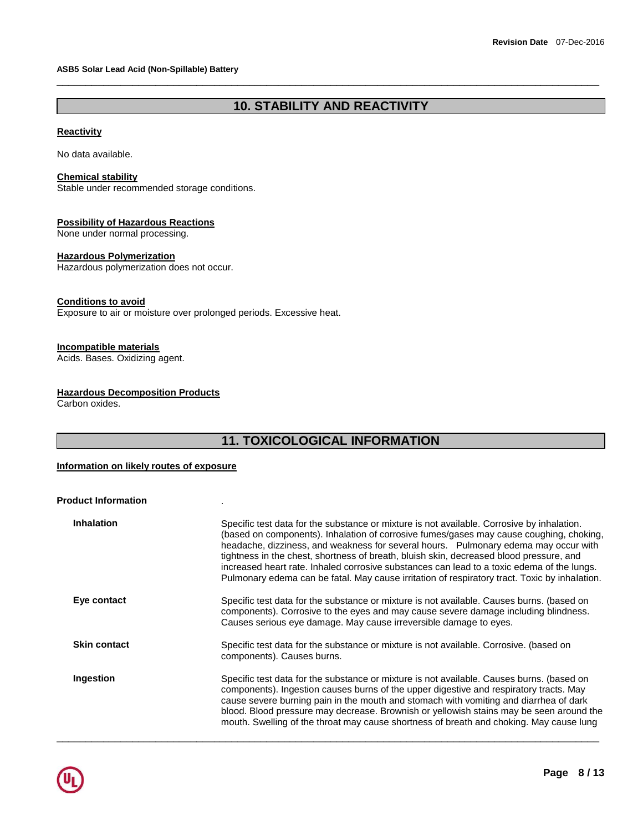# **10. STABILITY AND REACTIVITY**

\_\_\_\_\_\_\_\_\_\_\_\_\_\_\_\_\_\_\_\_\_\_\_\_\_\_\_\_\_\_\_\_\_\_\_\_\_\_\_\_\_\_\_\_\_\_\_\_\_\_\_\_\_\_\_\_\_\_\_\_\_\_\_\_\_\_\_\_\_\_\_\_\_\_\_\_\_\_\_\_\_\_\_\_\_\_\_\_\_\_\_\_\_

# **Reactivity**

No data available.

#### **Chemical stability**

Stable under recommended storage conditions.

# **Possibility of Hazardous Reactions**

None under normal processing.

# **Hazardous Polymerization**

Hazardous polymerization does not occur.

# **Conditions to avoid**

Exposure to air or moisture over prolonged periods. Excessive heat.

# **Incompatible materials**

Acids. Bases. Oxidizing agent.

# **Hazardous Decomposition Products**

Carbon oxides.

# **11. TOXICOLOGICAL INFORMATION**

## **Information on likely routes of exposure**

**Product Information** .

| <b>Inhalation</b>   | Specific test data for the substance or mixture is not available. Corrosive by inhalation.<br>(based on components). Inhalation of corrosive fumes/gases may cause coughing, choking,<br>headache, dizziness, and weakness for several hours.  Pulmonary edema may occur with<br>tightness in the chest, shortness of breath, bluish skin, decreased blood pressure, and<br>increased heart rate. Inhaled corrosive substances can lead to a toxic edema of the lungs.<br>Pulmonary edema can be fatal. May cause irritation of respiratory tract. Toxic by inhalation. |
|---------------------|-------------------------------------------------------------------------------------------------------------------------------------------------------------------------------------------------------------------------------------------------------------------------------------------------------------------------------------------------------------------------------------------------------------------------------------------------------------------------------------------------------------------------------------------------------------------------|
| Eye contact         | Specific test data for the substance or mixture is not available. Causes burns. (based on<br>components). Corrosive to the eyes and may cause severe damage including blindness.<br>Causes serious eye damage. May cause irreversible damage to eyes.                                                                                                                                                                                                                                                                                                                   |
| <b>Skin contact</b> | Specific test data for the substance or mixture is not available. Corrosive. (based on<br>components). Causes burns.                                                                                                                                                                                                                                                                                                                                                                                                                                                    |
| Ingestion           | Specific test data for the substance or mixture is not available. Causes burns. (based on<br>components). Ingestion causes burns of the upper digestive and respiratory tracts. May<br>cause severe burning pain in the mouth and stomach with vomiting and diarrhea of dark<br>blood. Blood pressure may decrease. Brownish or yellowish stains may be seen around the<br>mouth. Swelling of the throat may cause shortness of breath and choking. May cause lung                                                                                                      |

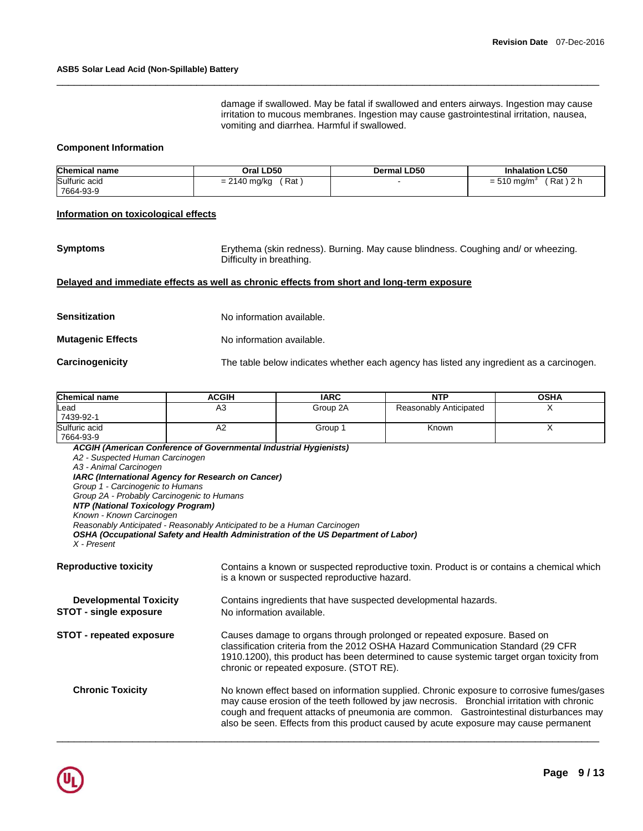damage if swallowed. May be fatal if swallowed and enters airways. Ingestion may cause irritation to mucous membranes. Ingestion may cause gastrointestinal irritation, nausea, vomiting and diarrhea. Harmful if swallowed.

#### **Component Information**

| <b>Chemical name</b>       | Oral LD50             | <b>Dermal LD50</b> | <b>Inhalation LC50</b>                           |
|----------------------------|-----------------------|--------------------|--------------------------------------------------|
| Sulfuric acid<br>7664-93-9 | ์ Rat<br>= 2140 mg/kg |                    | ົດ<br>Rat)<br>$= 510$ mg/m <sup>3</sup><br>1 Z L |

\_\_\_\_\_\_\_\_\_\_\_\_\_\_\_\_\_\_\_\_\_\_\_\_\_\_\_\_\_\_\_\_\_\_\_\_\_\_\_\_\_\_\_\_\_\_\_\_\_\_\_\_\_\_\_\_\_\_\_\_\_\_\_\_\_\_\_\_\_\_\_\_\_\_\_\_\_\_\_\_\_\_\_\_\_\_\_\_\_\_\_\_\_

#### **Information on toxicological effects**

**Symptoms** Erythema (skin redness). Burning. May cause blindness. Coughing and/ or wheezing. Difficulty in breathing.

#### **Delayed and immediate effects as well as chronic effects from short and long-term exposure**

| Sensitization     | No information available.                                                                |
|-------------------|------------------------------------------------------------------------------------------|
| Mutaqenic Effects | No information available.                                                                |
| Carcinogenicity   | The table below indicates whether each agency has listed any ingredient as a carcinogen. |

| <b>Chemical name</b>       | ACGIH          | <b>IARC</b> | <b>NTP</b>             | <b>OSHA</b> |
|----------------------------|----------------|-------------|------------------------|-------------|
| Lead<br>7439-92-1          | A3             | Group 2A    | Reasonably Anticipated |             |
| Sulfuric acid<br>7664-93-9 | A <sub>2</sub> | Group 1     | Known                  |             |

*ACGIH (American Conference of Governmental Industrial Hygienists) A2 - Suspected Human Carcinogen A3 - Animal Carcinogen IARC (International Agency for Research on Cancer) Group 1 - Carcinogenic to Humans Group 2A - Probably Carcinogenic to Humans NTP (National Toxicology Program) Known - Known Carcinogen Reasonably Anticipated - Reasonably Anticipated to be a Human Carcinogen OSHA (Occupational Safety and Health Administration of the US Department of Labor) X - Present*  **Reproductive toxicity** Contains a known or suspected reproductive toxin. Product is or contains a chemical which is a known or suspected reproductive hazard. **Developmental Toxicity** Contains ingredients that have suspected developmental hazards. **STOT - single exposure** No information available. **STOT - repeated exposure** Causes damage to organs through prolonged or repeated exposure. Based on classification criteria from the 2012 OSHA Hazard Communication Standard (29 CFR 1910.1200), this product has been determined to cause systemic target organ toxicity from chronic or repeated exposure. (STOT RE). **Chronic Toxicity** No known effect based on information supplied. Chronic exposure to corrosive fumes/gases may cause erosion of the teeth followed by jaw necrosis. Bronchial irritation with chronic cough and frequent attacks of pneumonia are common. Gastrointestinal disturbances may also be seen. Effects from this product caused by acute exposure may cause permanent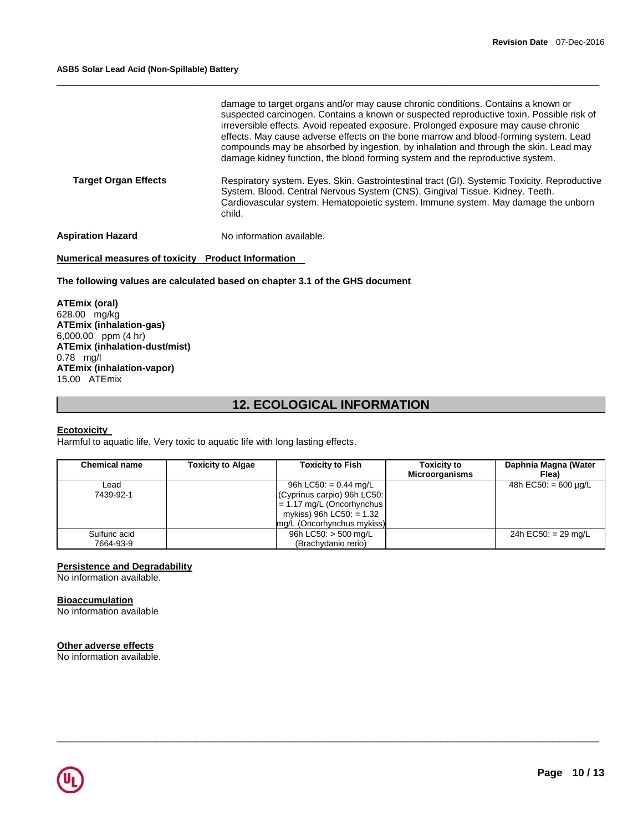|                             | damage to target organs and/or may cause chronic conditions. Contains a known or<br>suspected carcinogen. Contains a known or suspected reproductive toxin. Possible risk of<br>irreversible effects. Avoid repeated exposure. Prolonged exposure may cause chronic<br>effects. May cause adverse effects on the bone marrow and blood-forming system. Lead<br>compounds may be absorbed by ingestion, by inhalation and through the skin. Lead may<br>damage kidney function, the blood forming system and the reproductive system. |
|-----------------------------|--------------------------------------------------------------------------------------------------------------------------------------------------------------------------------------------------------------------------------------------------------------------------------------------------------------------------------------------------------------------------------------------------------------------------------------------------------------------------------------------------------------------------------------|
| <b>Target Organ Effects</b> | Respiratory system. Eyes. Skin. Gastrointestinal tract (GI). Systemic Toxicity. Reproductive<br>System. Blood. Central Nervous System (CNS). Gingival Tissue. Kidney. Teeth.<br>Cardiovascular system. Hematopoietic system. Immune system. May damage the unborn<br>child.                                                                                                                                                                                                                                                          |
| <b>Aspiration Hazard</b>    | No information available.                                                                                                                                                                                                                                                                                                                                                                                                                                                                                                            |

\_\_\_\_\_\_\_\_\_\_\_\_\_\_\_\_\_\_\_\_\_\_\_\_\_\_\_\_\_\_\_\_\_\_\_\_\_\_\_\_\_\_\_\_\_\_\_\_\_\_\_\_\_\_\_\_\_\_\_\_\_\_\_\_\_\_\_\_\_\_\_\_\_\_\_\_\_\_\_\_\_\_\_\_\_\_\_\_\_\_\_\_\_

# **Numerical measures of toxicity Product Information**

# **The following values are calculated based on chapter 3.1 of the GHS document**

**ATEmix (oral)** 628.00 mg/kg **ATEmix (inhalation-gas)** 6,000.00 ppm (4 hr) **ATEmix (inhalation-dust/mist)** 0.78 mg/l **ATEmix (inhalation-vapor)** 15.00 ATEmix

# **12. ECOLOGICAL INFORMATION**

### **Ecotoxicity**

Harmful to aquatic life. Very toxic to aquatic life with long lasting effects.

| <b>Chemical name</b> | <b>Toxicity to Algae</b> | <b>Toxicity to Fish</b>     | <b>Toxicity to</b><br><b>Microorganisms</b> | Daphnia Magna (Water<br>Flea) |
|----------------------|--------------------------|-----------------------------|---------------------------------------------|-------------------------------|
| ∟ead                 |                          | 96h LC50: $= 0.44$ mg/L     |                                             | 48h EC50: $= 600 \mu q/L$     |
| 7439-92-1            |                          | (Cyprinus carpio) 96h LC50: |                                             |                               |
|                      |                          | $= 1.17$ mg/L (Oncorhynchus |                                             |                               |
|                      |                          | mykiss) 96h LC50: $= 1.32$  |                                             |                               |
|                      |                          | mg/L (Oncorhynchus mykiss)  |                                             |                               |
| Sulfuric acid        |                          | 96h LC50: $>$ 500 mg/L      |                                             | 24h EC50: $= 29$ mg/L         |
| 7664-93-9            |                          | (Brachydanio rerio)         |                                             |                               |

\_\_\_\_\_\_\_\_\_\_\_\_\_\_\_\_\_\_\_\_\_\_\_\_\_\_\_\_\_\_\_\_\_\_\_\_\_\_\_\_\_\_\_\_\_\_\_\_\_\_\_\_\_\_\_\_\_\_\_\_\_\_\_\_\_\_\_\_\_\_\_\_\_\_\_\_\_\_\_\_\_\_\_\_\_\_\_\_\_\_\_\_\_

# **Persistence and Degradability**

No information available.

# **Bioaccumulation**

No information available

# **Other adverse effects**

No information available.

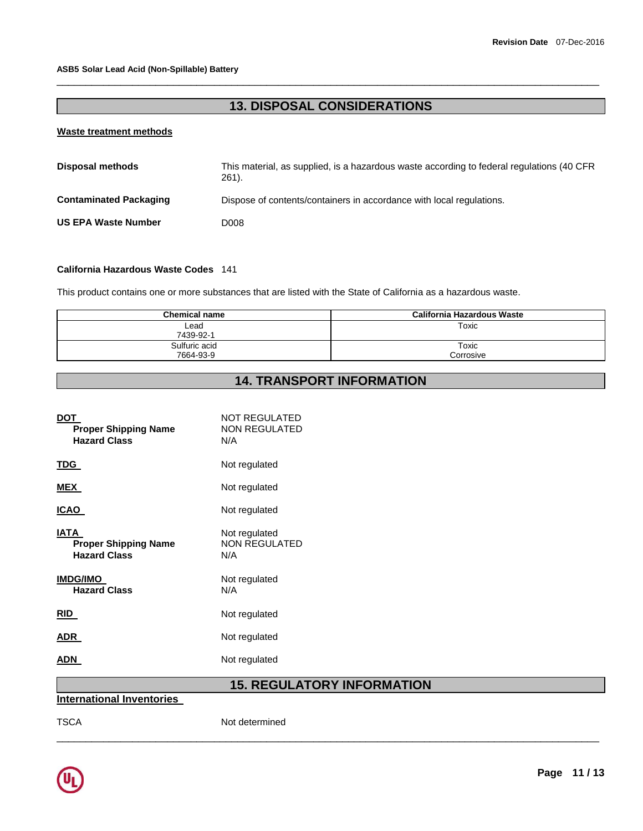# **13. DISPOSAL CONSIDERATIONS**

\_\_\_\_\_\_\_\_\_\_\_\_\_\_\_\_\_\_\_\_\_\_\_\_\_\_\_\_\_\_\_\_\_\_\_\_\_\_\_\_\_\_\_\_\_\_\_\_\_\_\_\_\_\_\_\_\_\_\_\_\_\_\_\_\_\_\_\_\_\_\_\_\_\_\_\_\_\_\_\_\_\_\_\_\_\_\_\_\_\_\_\_\_

# **Waste treatment methods**

| <b>Disposal methods</b>       | This material, as supplied, is a hazardous waste according to federal regulations (40 CFR)<br>$261$ . |
|-------------------------------|-------------------------------------------------------------------------------------------------------|
| <b>Contaminated Packaging</b> | Dispose of contents/containers in accordance with local regulations.                                  |
| <b>US EPA Waste Number</b>    | D008                                                                                                  |

# **California Hazardous Waste Codes** 141

This product contains one or more substances that are listed with the State of California as a hazardous waste.

| Chemical name              | California Hazardous Waste |
|----------------------------|----------------------------|
| Lead<br>7439-92-1          | Toxic                      |
| Sulfuric acid<br>7664-93-9 | Toxic<br>Corrosive         |

# **14. TRANSPORT INFORMATION**

| <b>DOT</b><br><b>Proper Shipping Name</b><br><b>Hazard Class</b>  | <b>NOT REGULATED</b><br><b>NON REGULATED</b><br>N/A |
|-------------------------------------------------------------------|-----------------------------------------------------|
| <u>TDG</u>                                                        | Not regulated                                       |
| <b>MEX</b>                                                        | Not regulated                                       |
| <b>ICAO</b>                                                       | Not regulated                                       |
| <b>IATA</b><br><b>Proper Shipping Name</b><br><b>Hazard Class</b> | Not regulated<br><b>NON REGULATED</b><br>N/A        |
| <b>IMDG/IMO</b><br><b>Hazard Class</b>                            | Not regulated<br>N/A                                |
| RID                                                               | Not regulated                                       |
| <b>ADR</b>                                                        | Not regulated                                       |
| <b>ADN</b>                                                        | Not regulated                                       |
| والمرجان وبالمرواة المربوب والترج بممرد تربيها                    | <b>15. REGULATORY INFORMATION</b>                   |

\_\_\_\_\_\_\_\_\_\_\_\_\_\_\_\_\_\_\_\_\_\_\_\_\_\_\_\_\_\_\_\_\_\_\_\_\_\_\_\_\_\_\_\_\_\_\_\_\_\_\_\_\_\_\_\_\_\_\_\_\_\_\_\_\_\_\_\_\_\_\_\_\_\_\_\_\_\_\_\_\_\_\_\_\_\_\_\_\_\_\_\_\_

**International Inventories** 

TSCA Not determined

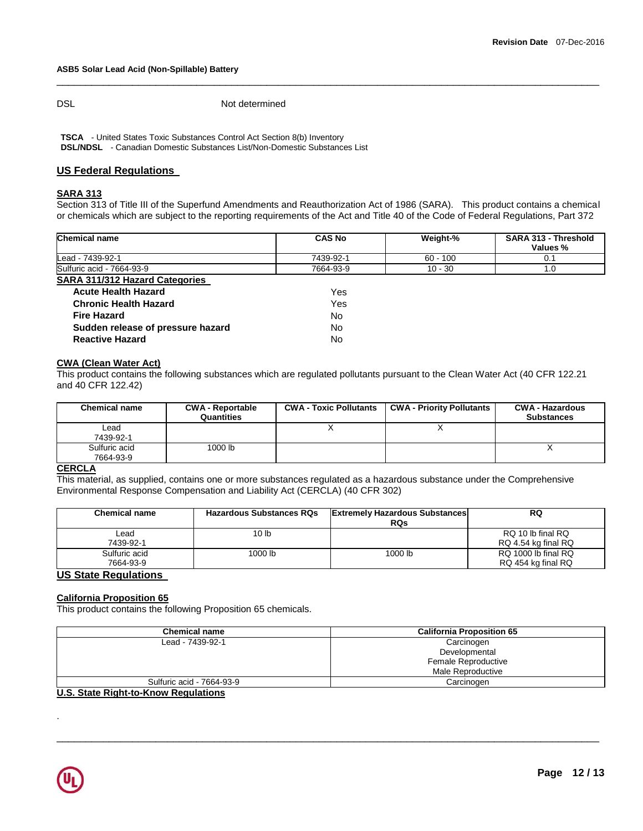DSL Not determined

**TSCA** - United States Toxic Substances Control Act Section 8(b) Inventory **DSL/NDSL** - Canadian Domestic Substances List/Non-Domestic Substances List

# **US Federal Regulations**

# **SARA 313**

Section 313 of Title III of the Superfund Amendments and Reauthorization Act of 1986 (SARA). This product contains a chemical or chemicals which are subject to the reporting requirements of the Act and Title 40 of the Code of Federal Regulations, Part 372

\_\_\_\_\_\_\_\_\_\_\_\_\_\_\_\_\_\_\_\_\_\_\_\_\_\_\_\_\_\_\_\_\_\_\_\_\_\_\_\_\_\_\_\_\_\_\_\_\_\_\_\_\_\_\_\_\_\_\_\_\_\_\_\_\_\_\_\_\_\_\_\_\_\_\_\_\_\_\_\_\_\_\_\_\_\_\_\_\_\_\_\_\_

| Chemical name                         | <b>CAS No</b> | Weight-%   | SARA 313 - Threshold<br>Values % |
|---------------------------------------|---------------|------------|----------------------------------|
| Lead - 7439-92-1                      | 7439-92-1     | $60 - 100$ | 0.1                              |
| Sulfuric acid - 7664-93-9             | 7664-93-9     | $10 - 30$  | 1.0                              |
| <b>SARA 311/312 Hazard Categories</b> |               |            |                                  |
| <b>Acute Health Hazard</b>            | Yes           |            |                                  |
| <b>Chronic Health Hazard</b>          | Yes           |            |                                  |
| <b>Fire Hazard</b>                    | No            |            |                                  |
| Sudden release of pressure hazard     | No            |            |                                  |
| <b>Reactive Hazard</b>                | No            |            |                                  |

# **CWA (Clean Water Act)**

This product contains the following substances which are regulated pollutants pursuant to the Clean Water Act (40 CFR 122.21 and 40 CFR 122.42)

| <b>Chemical name</b>       | <b>CWA - Reportable</b><br>Quantities | <b>CWA - Toxic Pollutants</b> | <b>CWA - Priority Pollutants</b> | <b>CWA - Hazardous</b><br><b>Substances</b> |
|----------------------------|---------------------------------------|-------------------------------|----------------------------------|---------------------------------------------|
| Lead<br>7439-92-1          |                                       |                               |                                  |                                             |
| Sulfuric acid<br>7664-93-9 | 1000 lb                               |                               |                                  |                                             |

#### **CERCLA**

This material, as supplied, contains one or more substances regulated as a hazardous substance under the Comprehensive Environmental Response Compensation and Liability Act (CERCLA) (40 CFR 302)

| <b>Chemical name</b>       | <b>Hazardous Substances RQs</b> | <b>Extremely Hazardous Substances</b><br><b>RQs</b> | <b>RQ</b>                                 |
|----------------------------|---------------------------------|-----------------------------------------------------|-------------------------------------------|
| Lead<br>7439-92-1          | 10 lb                           |                                                     | RQ 10 lb final RQ<br>RQ 4.54 kg final RQ  |
| Sulfuric acid<br>7664-93-9 | 1000 lb                         | 1000 lb                                             | RQ 1000 lb final RQ<br>RQ 454 kg final RQ |

# **US State Regulations**

# **California Proposition 65**

This product contains the following Proposition 65 chemicals.

| <b>Chemical name</b>      | <b>California Proposition 65</b> |
|---------------------------|----------------------------------|
| Lead - 7439-92-1          | Carcinogen                       |
|                           | Developmental                    |
|                           | Female Reproductive              |
|                           | Male Reproductive                |
| Sulfuric acid - 7664-93-9 | Carcinogen                       |

\_\_\_\_\_\_\_\_\_\_\_\_\_\_\_\_\_\_\_\_\_\_\_\_\_\_\_\_\_\_\_\_\_\_\_\_\_\_\_\_\_\_\_\_\_\_\_\_\_\_\_\_\_\_\_\_\_\_\_\_\_\_\_\_\_\_\_\_\_\_\_\_\_\_\_\_\_\_\_\_\_\_\_\_\_\_\_\_\_\_\_\_\_

#### **U.S. State Right-to-Know Regulations**



.